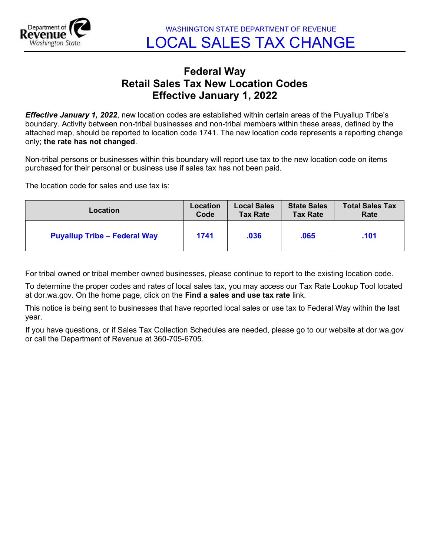

WASHINGTON STATE DEPARTMENT OF REVENUE LOCAL SALES TAX CHANGE

## Federal Way Retail Sales Tax New Location Codes Effective January 1, 2022

**Effective January 1, 2022**, new location codes are established within certain areas of the Puyallup Tribe's boundary. Activity between non-tribal businesses and non-tribal members within these areas, defined by the attached map, should be reported to location code 1741. The new location code represents a reporting change only; the rate has not changed.

Non-tribal persons or businesses within this boundary will report use tax to the new location code on items purchased for their personal or business use if sales tax has not been paid.

The location code for sales and use tax is:

| Location                            | Location | <b>Local Sales</b> | <b>State Sales</b> | <b>Total Sales Tax</b> |
|-------------------------------------|----------|--------------------|--------------------|------------------------|
|                                     | Code     | <b>Tax Rate</b>    | <b>Tax Rate</b>    | Rate                   |
| <b>Puyallup Tribe - Federal Way</b> | 1741     | .036               | .065               | .101                   |

For tribal owned or tribal member owned businesses, please continue to report to the existing location code.

To determine the proper codes and rates of local sales tax, you may access our Tax Rate Lookup Tool located at dor.wa.gov. On the home page, click on the Find a sales and use tax rate link.

This notice is being sent to businesses that have reported local sales or use tax to Federal Way within the last year.

If you have questions, or if Sales Tax Collection Schedules are needed, please go to our website at dor.wa.gov or call the Department of Revenue at 360-705-6705.